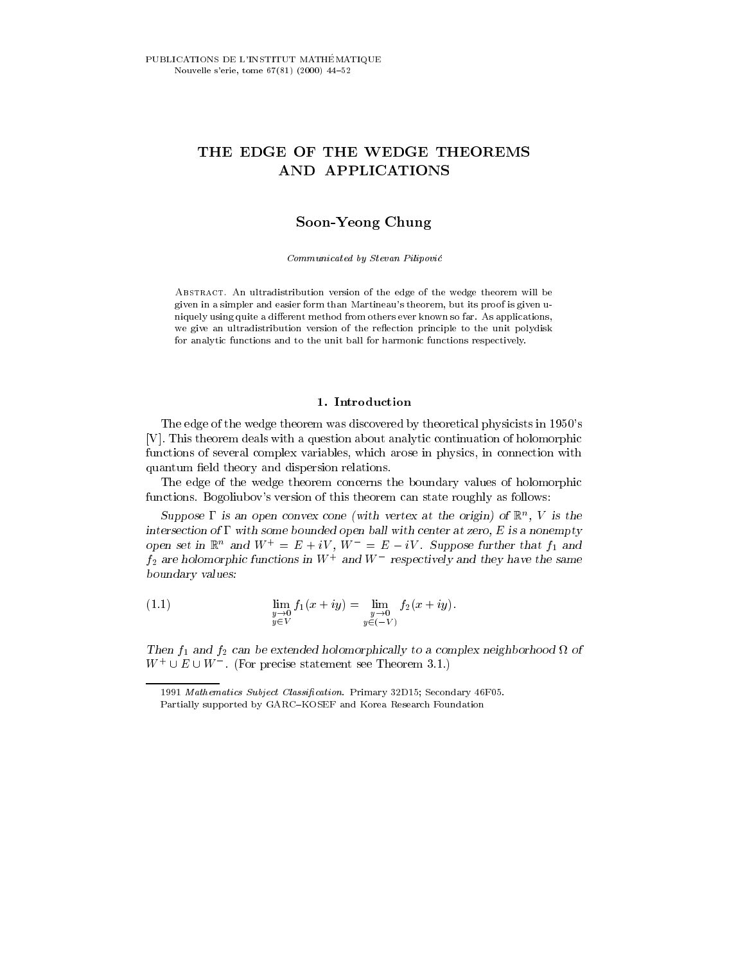# THE EDGE OF THE WEDGE THEOREMS AND APPLICATIONS

# Soon-Yeong Chung

Communicated by Stevan Pilipovic

Abstract. An ultradistribution version of the edge of the wedge theorem will be given in a simpler and easier form than Martineau's theorem, but its proof is given u niquely using quite a different method from others ever known so far. As applications, we give an ultradistribution version of the reflection principle to the unit polydisk for analytic functions and to the unit ball for harmonic functions respectively.

### 1. Introduction

The edge of the wedge theorem was discovered by theoretical physicists in 1950's [V]. This theorem deals with a question about analytic continuation of holomorphic functions of several complex variables, which arose in physics, in connection with quantum field theory and dispersion relations.

The edge of the wedge theorem concerns the boundary values of holomorphic functions. Bogoliubov's version of this theorem can state roughly as follows:

 $Suppose$  is an open convex cone (with vertex at the origin) of  $\mathbb{R}^n$ ,  $V$  is the  $\,$ пист $\,$ зес $\,$ ион от  $\,$ г $\,$ и вопн $\,$ е рочинсе $\,$ и орен ban with сеп $\,$ его,  $\,$ его,  $\,$ его,  $\,$ его,  $\,$ и в а попетн $\,$ и $\,$ open set in  $\mathbb{R}$  and  $W_1 = E + iV$ ,  $W_2 = E - iV$ . Suppose further that  $f_1$  and  $f_2$  are holomorphic functions in  $W$  – and  $W$  – respectively and they have the same boundary values:

(1.1) 
$$
\lim_{\substack{y \to 0 \\ y \in V}} f_1(x + iy) = \lim_{\substack{y \to 0 \\ y \in (-V)}} f_2(x + iy).
$$

Then  $f_1$  and  $f_2$  can be extended holomorphically to a complex neighborhood if of  $W^+ \cup E \cup W^-$ . (For precise statement see Theorem 3.1.)

<sup>1991</sup> Mathematics Subject Classification. Primary 32D15; Secondary 46F05.

Partially supported by GARC-KOSEF and Korea Research Foundation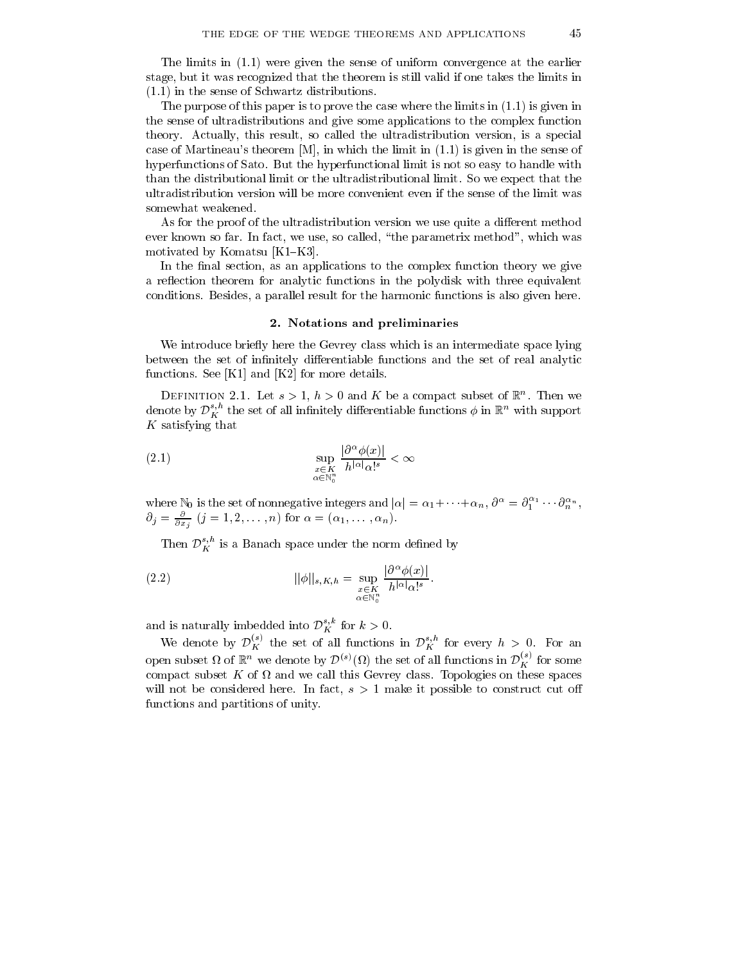The limits in (1.1) were given the sense of uniform convergence at the earlier stage, but it was recognized that the theorem is still valid if one takes the limits in (1.1) in the sense of Schwartz distributions.

The purpose of this paper is to prove the case where the limits in (1.1) is given in the sense of ultradistributions and give some applications to the complex function theory. Actually, this result, so called the ultradistribution version, is a special case of Martineau's theorem [M], in which the limit in (1.1) is given in the sense of hyperfunctions of Sato. But the hyperfunctional limit is not so easy to handle with than the distributional limit or the ultradistributional limit. So we expect that the ultradistribution version will be more convenient even if the sense of the limit was somewhat weakened.

As for the proof of the ultradistribution version we use quite a different method ever known so far. In fact, we use, so called, \the parametrix method", which was motivated by Komatsu  $[K1-K3]$ .

In the final section, as an applications to the complex function theory we give a reflection theorem for analytic functions in the polydisk with three equivalent conditions. Besides, a parallel result for the harmonic functions is also given here.

#### 2. Notations and preliminaries

We introduce briefly here the Gevrey class which is an intermediate space lying between the set of infinitely differentiable functions and the set of real analytic functions. See [K1] and [K2] for more details.

DEFINITION 2.1. Let  $s > 1$ ,  $n > 0$  and  $K$  be a compact subset of  $K$ . Then we denote by  $\mathcal{D}_{K}^{s,n}$  the set of all infinitely differentiable functions  $\phi$  in  $\mathbb{R}^{n}$  with support K satisfying that

$$
\sup_{x \in K \atop \alpha \in \mathbb{N}_n^n} \frac{|\partial^\alpha \phi(x)|}{h^{|\alpha|} \alpha!^s} < \infty
$$

where  $\mathbb{N}_0$  is the set of nonnegative integers and  $|\alpha| = \alpha_1 + \cdots + \alpha_n$ ,  $\partial^{\alpha} = \partial_1^{\alpha_1} \cdots \partial_n^{\alpha_n}$ ,  $\sigma_j = \frac{\partial}{\partial x_j}$  ( $j = 1, 2, \ldots, n$ ) for  $\alpha = (\alpha_1, \ldots, \alpha_n)$ .

Then  ${\cal D}^{s,n}_K$  is a Banach space under the norm defined by

(2.2) 
$$
||\phi||_{s,K,h} = \sup_{\substack{x \in K \\ \alpha \in \mathbb{N}_0^n}} \frac{|\partial^{\alpha} \phi(x)|}{h^{|\alpha|} \alpha!s}.
$$

and is naturally imbedded into  $\mathcal{D}_{K}^{s,\kappa}$  for  $k>0$ .

We denote by  $\mathcal{D}_{K}^{\vee}$  the set of all functions in  $\mathcal{D}_{K}^{s,n}$  for every  $h > 0$ . For an open subset  $\Omega$  of  $\mathbb{R}^n$  we denote by  $\mathcal{D}^{(s)}(\Omega)$  the set of all functions in  $\mathcal{D}_K^{(s)}$  for some compact subset K of this Gevre we call this Gevern this Geven the property on the space spaces. will not be considered here. In fact,  $s > 1$  make it possible to construct cut off functions and partitions of unity.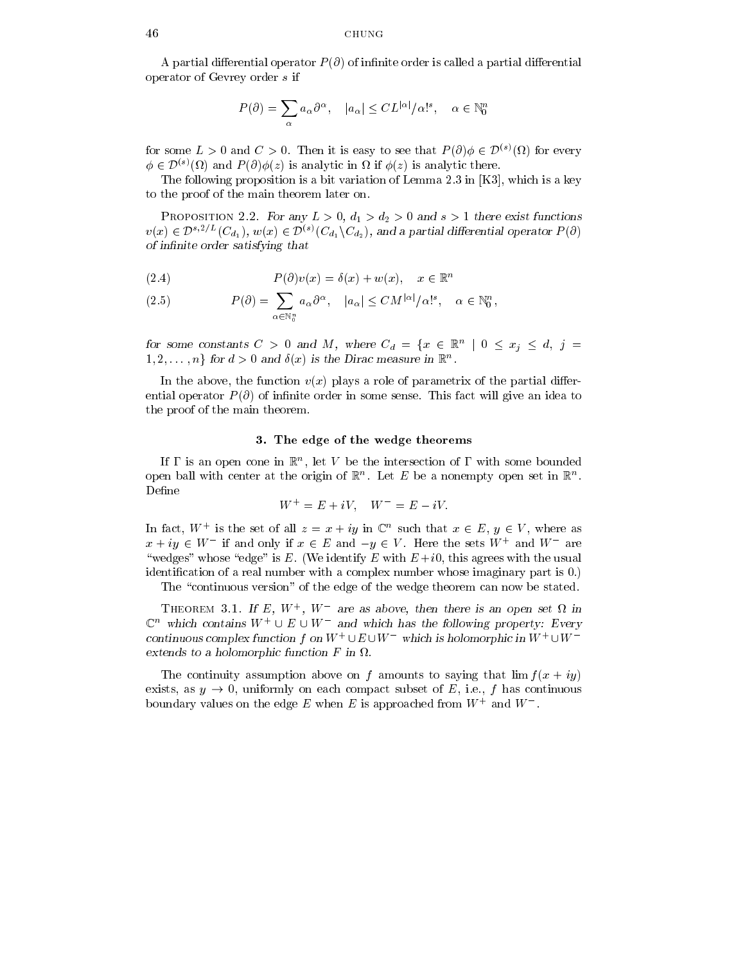A partial differential operator  $P(\partial)$  of infinite order is called a partial differential operator of Gevrey order <sup>s</sup> if

$$
P(\partial) = \sum_{\alpha} a_{\alpha} \partial^{\alpha}, \quad |a_{\alpha}| \leq CL^{|\alpha|} / \alpha!^{s}, \quad \alpha \in \mathbb{N}_{0}^{n}
$$

for some  $L>0$  and  $C>0$ . Then it is easy to see that  $P(\partial)\phi\in\mathcal{D}^{(s)}(\Omega)$  for every  $\phi \in \mathcal{D}^{(s)}(\Omega)$  and  $P(\partial)\phi(z)$  is analytic in  $\Omega$  if  $\phi(z)$  is analytic there.

The following proposition is a bit variation of Lemma 2.3 in [K3], which is a key to the proof of the main theorem later on.

PROPOSITION 2.2. For any  $L>0$ ,  $d_1>d_2>0$  and  $s>1$  there exist functions  $v(x) \in \mathcal{D}^{s,2/L}(C_{d_1}), w(x) \in \mathcal{D}^{(s)}(C_{d_1} \backslash C_{d_2}),$  and a partial differential operator  $P(\partial)$ of infinite order satisfying that

(2.4) 
$$
P(\partial)v(x) = \delta(x) + w(x), \quad x \in \mathbb{R}^n
$$

(2.5) 
$$
P(\partial) = \sum_{\alpha \in \mathbb{N}_0^n} a_{\alpha} \partial^{\alpha}, \quad |a_{\alpha}| \leq CM^{|\alpha|} / \alpha!^s, \quad \alpha \in \mathbb{N}_0^n,
$$

for some constants  $C > 0$  and M, where  $C_d = \{x \in \mathbb{R}^n \mid 0 \leq x_j \leq d, j =$  $1, 2, \ldots, n\}$  for  $d > 0$  and  $\delta(x)$  is the Dirac measure in  $\mathbb{R}^n$ .

In the above, the function  $v(x)$  plays a role of parametrix of the partial differential operator  $P(\partial)$  of infinite order in some sense. This fact will give an idea to the proof of the main theorem.

### 3. The edge of the wedge theorems

If I is an open cone in  $\mathbb R$  , let  $V$  be the intersection of I with some bounded open ball with center at the origin of  $\mathbb{R}^n$ . Let  $E$  be a nonempty open set in  $\mathbb{R}^n$ . Define

$$
W^+ = E + iV, \quad W^- = E - iV.
$$

In fact,  $W^+$  is the set of all  $z = x + iy$  in  $\mathbb{C}^n$  such that  $x \in E$ ,  $y \in V$ , where as  $x + iy \in W^-$  if and only if  $x \in E$  and  $-y \in V$ . Here the sets  $W^+$  and  $W^-$  are "wedges" whose "edge" is E. (We identify E with  $E +i0$ , this agrees with the usual identification of a real number with a complex number whose imaginary part is 0.)

The "continuous version" of the edge of the wedge theorem can now be stated.

I HEOREM **3.1.** If E, W, W are as above, then there is an open set M in  $\mathbb{C}^n$  which contains  $W^+ \cup E \cup W^-$  and which has the following property: Every continuous complex function f on  $W^+ \cup E \cup W$  which is holomorphic in  $W^+ \cup W^ \alpha$  tends to a holomorphic function  $F$  in  $\alpha$ .

The continuity assumption above on f amounts to saying that  $\lim f(x + iy)$ exists, as  $y \to 0$ , uniformly on each compact subset of E, i.e., f has continuous boundary values on the edge  $E$  when  $E$  is approached from  $W$  and  $W$ .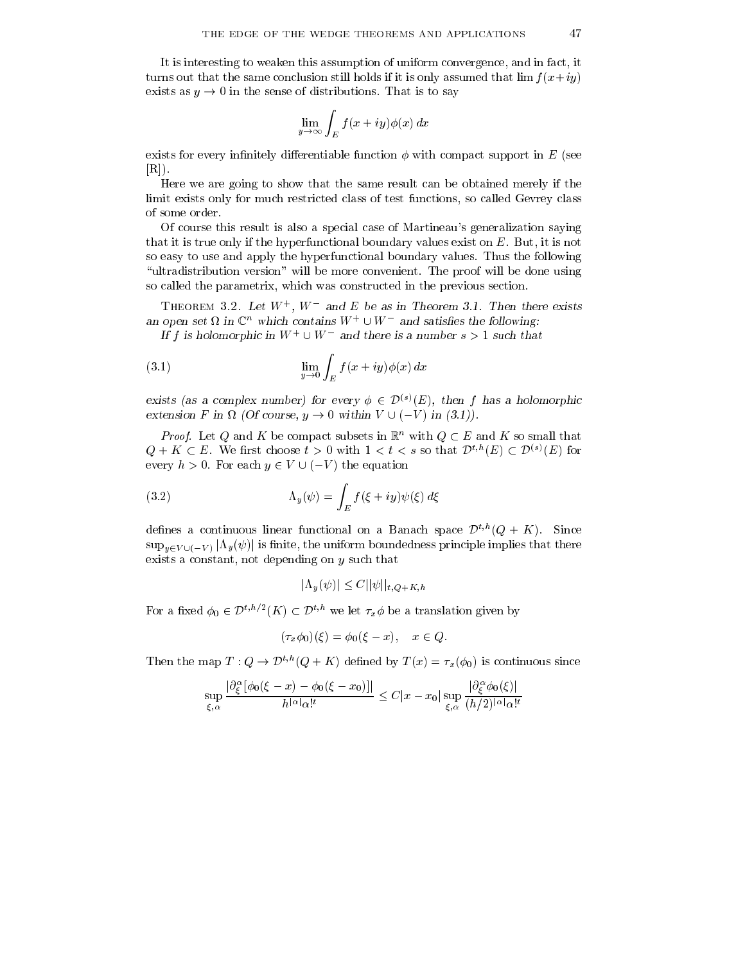It is interesting to weaken this assumption of uniform convergence, and in fact, it turns out that the same conclusion still holds if it is only assumed that  $\lim_{x \to i} f(x+iy)$ exists as  $y \rightarrow 0$  in the sense of distributions. That is to say

$$
\lim_{y\to\infty}\int_E f(x+iy)\phi(x)\,dx
$$

exists for every infinitely differentiable function  $\phi$  with compact support in E (see [R]).

Here we are going to show that the same result can be obtained merely if the limit exists only for much restricted class of test functions, so called Gevrey class of some order.

Of course this result is also a special case of Martineau's generalization saying that it is true only if the hyperfunctional boundary values exist on E. But, it is not so easy to use and apply the hyperfunctional boundary values. Thus the following "ultradistribution version" will be more convenient. The proof will be done using so called the parametrix, which was constructed in the previous section.

Theorem 3.2. Let <sup>W</sup><sup>+</sup> , <sup>W</sup> and <sup>E</sup> be as in Theorem 3.1. Then there exists an open set  $\Omega$  in  $\mathbb{C}^n$  which contains  $W^+\cup W^-$  and satisfies the following:

If f is holomorphic in  $W^+ \cup W^-$  and there is a number  $s > 1$  such that

(3.1) 
$$
\lim_{y \to 0} \int_{E} f(x+iy) \phi(x) dx
$$

exists (as a complex number) for every  $\phi \in \mathcal{D}^{(s)}(E)$ , then f has a holomorphic extension F in  $\Omega$  (Of course,  $y \to 0$  within  $V \cup (-V)$  in (3.1)).

*Proof.* Let Q and K be compact subsets in  $\mathbb{R}^n$  with  $Q \subset E$  and K so small that  $Q + K \subset E$ . We first choose  $t > 0$  with  $1 < t < s$  so that  $\mathcal{D}^{t,h}(E) \subset \mathcal{D}^{(s)}(E)$  for every  $h > 0$ . For each  $y \in V \cup (-V)$  the equation

(3.2) 
$$
\Lambda_y(\psi) = \int_E f(\xi + iy) \psi(\xi) d\xi
$$

defines a continuous linear functional on a Banach space  $\mathcal{D}^{t,h}(Q + K)$ . Since  $\sup_{y\in V\cup \{-V\}}|\Lambda_y(\psi)|$  is finite, the uniform boundedness principle implies that there exists a constant, not depending on <sup>y</sup> such that

$$
|\Lambda_y(\psi)| \le C ||\psi||_{t,Q+K,h}
$$

For a fixed  $\phi_0 \in \mathcal{D}^{t,h/2}(K) \subset \mathcal{D}^{t,h}$  we let  $\tau_x \phi$  be a translation given by

$$
(\tau_x \phi_0)(\xi) = \phi_0(\xi - x), \quad x \in Q.
$$

Then the map  $T: Q \to \mathcal{D}^{t,h}(Q + K)$  defined by  $T(x) = \tau_x(\phi_0)$  is continuous since

$$
\sup_{\xi,\alpha}\frac{|\partial^\alpha_\xi[\phi_0(\xi-x)-\phi_0(\xi-x_0)]|}{h^{|\alpha|}\alpha!^t}\leq C|x-x_0|\sup_{\xi,\alpha}\frac{|\partial^\alpha_\xi\phi_0(\xi)|}{(h/2)^{|\alpha|}\alpha!^t}
$$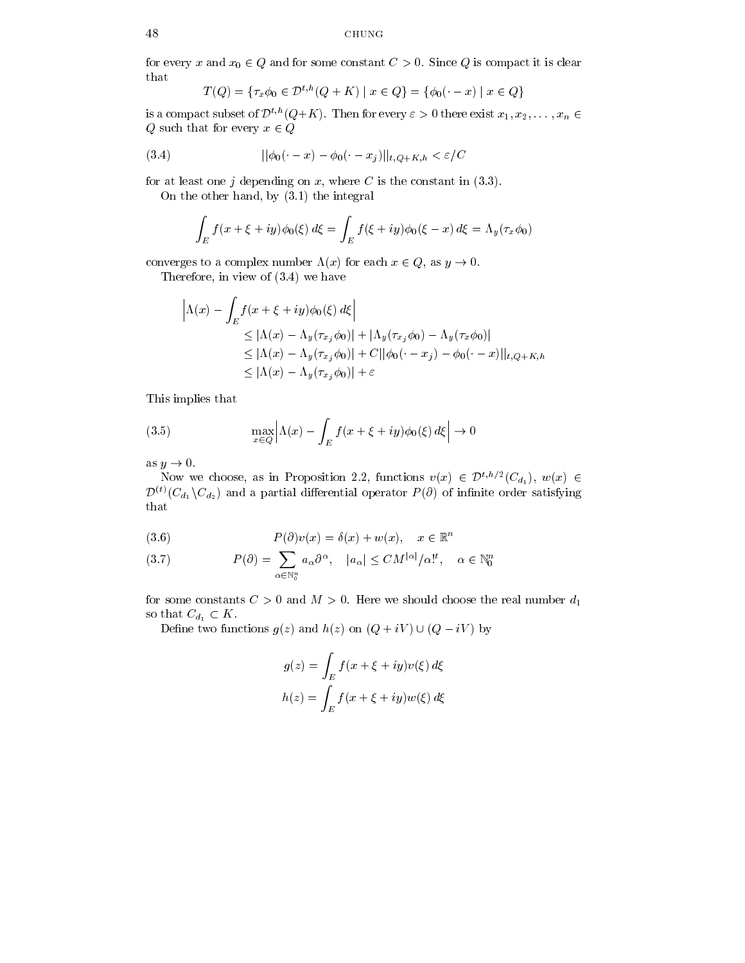for every x and  $x_0 \in Q$  and for some constant  $C > 0$ . Since Q is compact it is clear that

$$
T(Q) = \{ \tau_x \phi_0 \in \mathcal{D}^{t,h}(Q+K) \mid x \in Q \} = \{ \phi_0(\cdot - x) \mid x \in Q \}
$$

is a compact subset of  $\mathcal{D}^{t,h}(Q+K)$ . Then for every  $\varepsilon > 0$  there exist  $x_1, x_2, \ldots, x_n \in$  $Q$  such that for every  $x \in Q$ 

(3.4) 
$$
||\phi_0(\cdot - x) - \phi_0(\cdot - x_j)||_{t, Q+K, h} < \varepsilon / C
$$

for at least one j depending on x, where C is the constant in  $(3.3)$ .

On the other hand, by (3.1) the integral

$$
\int_E f(x+\xi+iy)\phi_0(\xi) d\xi = \int_E f(\xi+iy)\phi_0(\xi-x) d\xi = \Lambda_y(\tau_x\phi_0)
$$

converges to a complex number  $\Lambda(x)$  for each  $x \in Q$ , as  $y \to 0$ .

Therefore, in view of (3.4) we have

$$
\left| \Lambda(x) - \int_E f(x + \xi + iy) \phi_0(\xi) d\xi \right|
$$
  
\n
$$
\leq |\Lambda(x) - \Lambda_y(\tau_{x_j} \phi_0)| + |\Lambda_y(\tau_{x_j} \phi_0) - \Lambda_y(\tau_x \phi_0)|
$$
  
\n
$$
\leq |\Lambda(x) - \Lambda_y(\tau_{x_j} \phi_0)| + C ||\phi_0(\cdot - x_j) - \phi_0(\cdot - x)||_{t, Q + K, h}
$$
  
\n
$$
\leq |\Lambda(x) - \Lambda_y(\tau_{x_j} \phi_0)| + \varepsilon
$$

This implies that

(3.5) 
$$
\max_{x \in Q} \left| \Lambda(x) - \int_{E} f(x + \xi + iy) \phi_0(\xi) d\xi \right| \to 0
$$

as  $y \to 0$ .

Now we choose, as in Proposition 2.2, functions  $v(x) \in \mathcal{D}^{t,h/2}(C_{d_1}), w(x) \in$  $\mathcal{D}^{(t)}(C_{d_1}\backslash C_{d_2})$  and a partial differential operator  $P(\partial)$  of infinite order satisfying that

(3.6) 
$$
P(\partial)v(x) = \delta(x) + w(x), \quad x \in \mathbb{R}^n
$$

(3.7) 
$$
P(\partial) = \sum_{\alpha \in \mathbb{N}_0^n} a_{\alpha} \partial^{\alpha}, \quad |a_{\alpha}| \leq CM^{|\alpha|}/\alpha!^t, \quad \alpha \in \mathbb{N}_0^n
$$

for some constants  $C>0$  and  $M>0$ . Here we should choose the real number  $d_1$ so that  $C_{d_1} \subset K$ .

Define two functions  $g(z)$  and  $h(z)$  on  $(Q + iV) \cup (Q - iV)$  by

$$
g(z) = \int_E f(x + \xi + iy)v(\xi) d\xi
$$

$$
h(z) = \int_E f(x + \xi + iy)w(\xi) d\xi
$$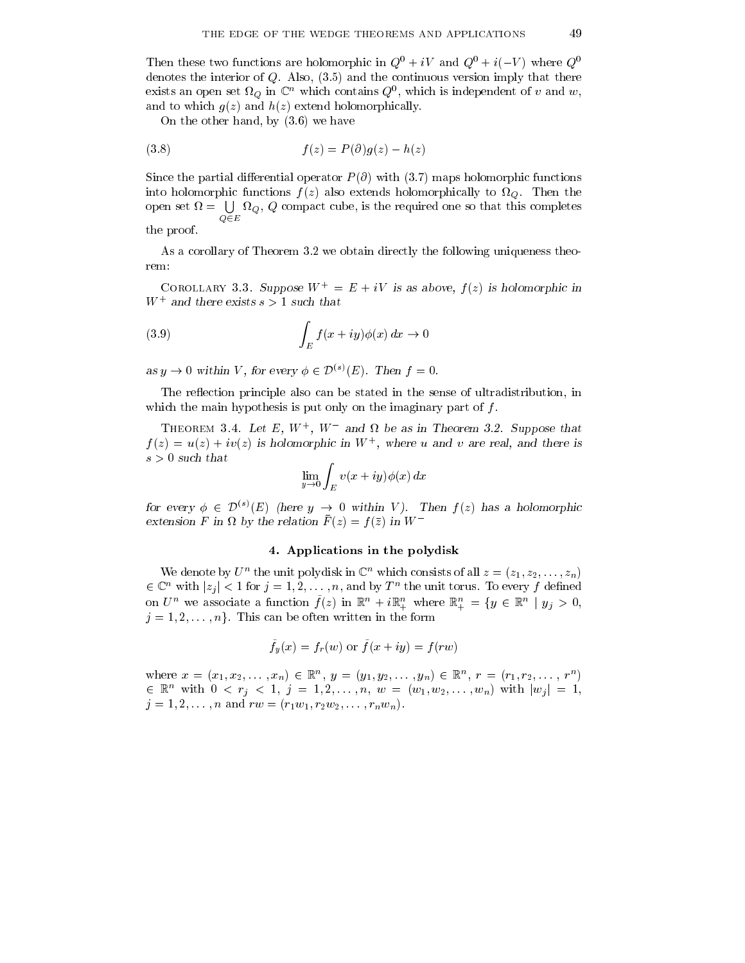Then these two functions are holomorphic in  $Q^0 + iV$  and  $Q^0 + i(-V)$  where  $Q^0$ denotes the interior of  $Q$ . Also,  $(3.5)$  and the continuous version imply that there exists an open set  $\mathcal{U}_Q$  in  $\mathbb{C}^+$  which contains  $Q^+$ , which is independent of v and w, and to which  $g(z)$  and  $h(z)$  extend holomorphically.

On the other hand, by (3.6) we have

$$
(3.8) \t f(z) = P(\partial)g(z) - h(z)
$$

Since the partial differential operator  $P(\partial)$  with (3.7) maps holomorphic functions into holomorphic functions <sup>f</sup> (z) also extends holomorphically to Q. Then the open set  $\Omega = \bigcup \Omega_{\Omega}, Q$  compact cube, is the required one so that this completes Q2E the proof.

As a corollary of Theorem 3.2 we obtain directly the following uniqueness theorem:

COROLLARY 3.3. Suppose  $W^+ = E + iV$  is as above,  $f(z)$  is holomorphic in W<sup>+</sup> and there exists <sup>s</sup> > 1 such that

(3.9) 
$$
\int_{E} f(x+iy)\phi(x) dx \to 0
$$

as  $y \to 0$  within V, for every  $\phi \in \mathcal{D}^{(s)}(E)$ . Then  $f = 0$ .

The reflection principle also can be stated in the sense of ultradistribution, in which the main hypothesis is put only on the imaginary part of  $f$ .

I HEOREM 3.4. Let E, W , W and M be as in I heorem 3.2. Suppose that  $f(z) = u(z) + iv(z)$  is holomorphic in W  $\,$ , where u and v are real, and there is s > 0 such that

$$
\lim_{y \to 0} \int_E v(x+iy) \phi(x) \, dx
$$

for every  $\phi \in \mathcal{D}^{(s)}(E)$  (here  $y \to 0$  within V). Then  $f(z)$  has a holomorphic extension  $F$  in  $\Omega$  by the relation  $F(z) = f(z)$  in W

## 4. Applications in the polydisk

We denote by  $U^+$  the unit polydisk in  $\mathbb{C}^+$  which consists of all  $z = (z_1, z_2, \ldots, z_n)$  $i \in \mathbb{C}^n$  with  $|z_j| < 1$  for  $j = 1, 2, \ldots, n$ , and by  $T^n$  the unit torus. To every f defined on  $U^n$  we associate a function  $f(z)$  in  $\mathbb{R}^n + i\mathbb{R}^n_+$  where  $\mathbb{R}^n_+ = \{y \in \mathbb{R}^n \mid y_j > 0,$  $j = 1, 2, \ldots, n$ . This can be often written in the form

$$
\tilde{f}_y(x) = f_r(w)
$$
 or  $\tilde{f}(x+iy) = f(rw)$ 

where  $x = (x_1, x_2, \ldots, x_n) \in \mathbb{R}^n$ ,  $y = (y_1, y_2, \ldots, y_n) \in \mathbb{R}^n$ ,  $r = (r_1, r_2, \ldots, r^n)$  $\in \mathbb{R}^n$  with  $0 < r_j < 1, j = 1, 2, ..., n$ ,  $w = (w_1, w_2, ..., w_n)$  with  $|w_j| = 1$ ,  $j = 1, 2, \ldots, n$  and  $\alpha = (r_1w_1, r_2w_2, \ldots, r_nw_n).$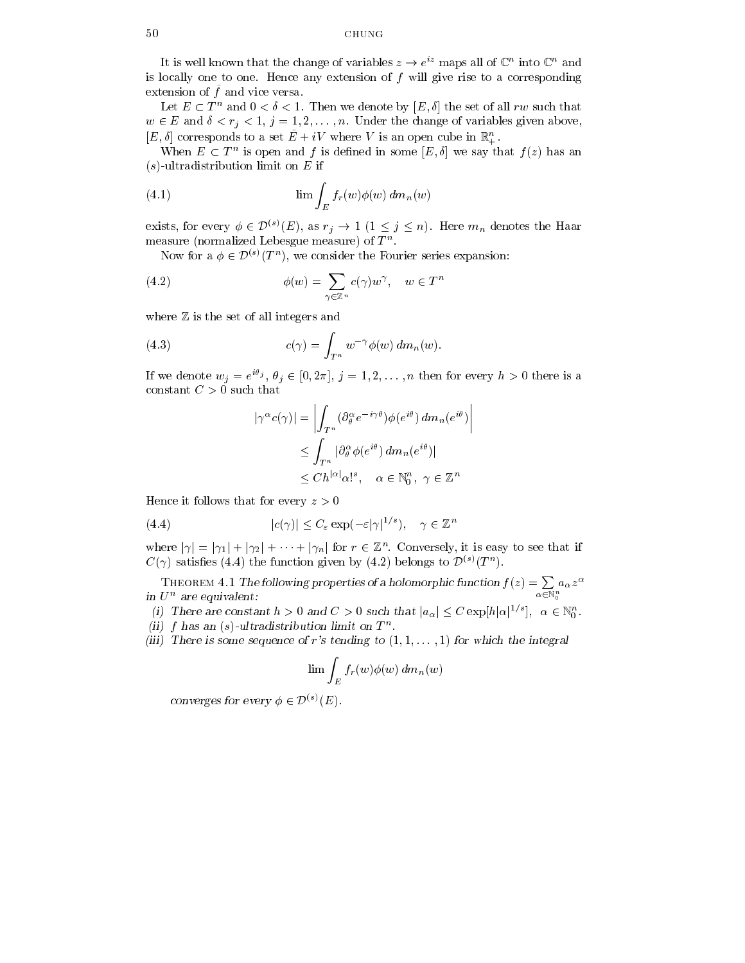It is well known that the change of variables  $z \to e^{iz}$  maps all of  $\mathbb{C}^n$  into  $\mathbb{C}^n$  and is locally one to one. Hence any extension of  $f$  will give rise to a corresponding extension of  $\hat{f}$  and vice versa.

Let  $E \subset T^n$  and  $0 < \delta < 1$ . Then we denote by  $[E, \delta]$  the set of all rw such that  $w \in E$  and  $\delta < r_j < 1, j = 1, 2, \ldots, n$ . Under the change of variables given above,

[E,  $\sigma$ ] corresponds to a set  $E + iV$  where V is an open cube in  $\mathbb{R}_+$ .<br>When  $E \subset T^n$  is open and f is defined in some  $[E, \delta]$  we say that  $f(z)$  has an  $(s)$ -ultradistribution limit on E if

(4.1) 
$$
\lim \int_{E} f_r(w) \phi(w) dm_n(w)
$$

exists, for every  $\phi \in \mathcal{D}^{(s)}(E)$ , as  $r_j \to 1 \ (1 \leq j \leq n)$ . Here  $m_n$  denotes the Haar  $measured$  incrimalized Lebesgue measure) of  $T$ 

Now for a  $\phi \in \mathcal{D}^{(s)}(T^n)$ , we consider the Fourier series expansion:

(4.2) 
$$
\phi(w) = \sum_{\gamma \in \mathbb{Z}^n} c(\gamma) w^{\gamma}, \quad w \in T^n
$$

where  $\mathbb Z$  is the set of all integers and

(4.3) 
$$
c(\gamma) = \int_{T^n} w^{-\gamma} \phi(w) dm_n(w).
$$

If we denote  $w_j = e^{i\theta_j}, \theta_j \in [0, 2\pi], j = 1, 2, \ldots, n$  then for every  $h > 0$  there is a constant  $C>0$  such that

$$
|\gamma^{\alpha}c(\gamma)| = \left| \int_{T^n} (\partial_{\theta}^{\alpha} e^{-i\gamma \theta}) \phi(e^{i\theta}) dm_n(e^{i\theta}) \right|
$$
  
\n
$$
\leq \int_{T^n} |\partial_{\theta}^{\alpha} \phi(e^{i\theta}) dm_n(e^{i\theta})|
$$
  
\n
$$
\leq Ch^{|\alpha|} \alpha!^s, \quad \alpha \in \mathbb{N}_0^n, \ \gamma \in \mathbb{Z}^n
$$

Hence it follows that for every  $z>0$ 

(4.4) 
$$
|c(\gamma)| \leq C_{\varepsilon} \exp(-\varepsilon |\gamma|^{1/s}), \quad \gamma \in \mathbb{Z}^n
$$

where  $|\gamma| = |\gamma_1| + |\gamma_2| + \cdots + |\gamma_n|$  for  $r \in \mathbb{Z}^n$ . Conversely, it is easy to see that if  $C(\gamma)$  satisfies (4.4) the function given by (4.2) belongs to  $\mathcal{D}^{(s)}(T^n)$ .

THEOREM 4.1 The following properties of a holomorphic function  $f(z) = \sum a_{\alpha} z^{\alpha}$ The order  $2\ln 4$ . The following properties of a holomorphic function  $J(z) = \sum_{\alpha \in \mathbb{N}_0^n} a_{\alpha} z^{-\alpha}$ in  $U^n$  are equivalent:

(i) There are constant  $h > 0$  and  $C > 0$  such that  $|a_{\alpha}| \leq C \exp[h|\alpha|^{1/s}], \alpha \in \mathbb{N}_{0}^{n}$ .

- $\left( \mu \right)$  f has an  $\left( s\right)$ -ultradistribution limit on T  $^{\circ}$  .
- (iii) There is some sequence of r's tending to  $(1,1,\ldots,1)$  for which the integral

$$
\lim \int_E f_r(w) \phi(w) \, dm_n(w)
$$

converges for every  $\phi \in \mathcal{D}^{(s)}(E)$ .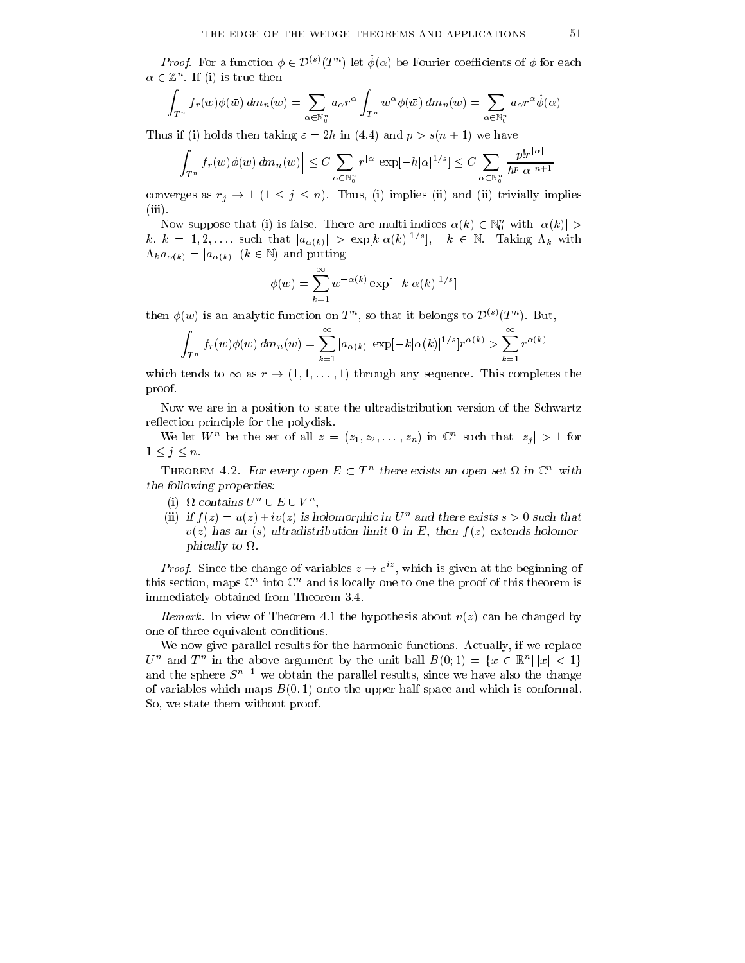*Proof.* For a function  $\phi \in \mathcal{D}^{(s)}(T^n)$  let  $\phi(\alpha)$  be Fourier coefficients of  $\phi$  for each  $\alpha \in \mathbb{Z}^n$ . If (1) is true then

$$
\int_{T^n} f_r(w)\phi(\bar{w}) dm_n(w) = \sum_{\alpha \in \mathbb{N}_0^n} a_{\alpha} r^{\alpha} \int_{T^n} w^{\alpha} \phi(\bar{w}) dm_n(w) = \sum_{\alpha \in \mathbb{N}_0^n} a_{\alpha} r^{\alpha} \hat{\phi}(\alpha)
$$

Thus if (i) holds then taking  $\varepsilon = 2h$  in (4.4) and  $p > s(n + 1)$  we have

$$
\left| \int_{T^n} f_r(w)\phi(\bar{w}) \, dm_n(w) \right| \le C \sum_{\alpha \in \mathbb{N}_0^n} r^{|\alpha|} \exp[-h|\alpha|^{1/s}] \le C \sum_{\alpha \in \mathbb{N}_0^n} \frac{p! r^{|\alpha|}}{h^p |\alpha|^{n+1}}
$$

converges as  $r_j \to 1$   $(1 \leq j \leq n)$ . Thus, (i) implies (ii) and (ii) trivially implies (iii).

Now suppose that (i) is false. There are multi-indices  $\alpha(k) \in \mathbb{N}_0^n$  with  $|\alpha(k)| >$  $k, k = 1, 2, \ldots$ , such that  $|a_{\alpha(k)}| > \exp[k|\alpha(k)|^{1/s}], \quad k \in \mathbb{N}$ . Taking  $\Lambda_k$  with  $\Lambda_k a_{\alpha(k)} = |a_{\alpha(k)}|$  ( $k \in \mathbb{N}$ ) and putting

$$
\phi(w) = \sum_{k=1}^{\infty} w^{-\alpha(k)} \exp[-k|\alpha(k)|^{1/s}]
$$

then  $\phi(w)$  is an analytic function on  $T^n$ , so that it belongs to  $\mathcal{D}^{(s)}(T^n)$ . But,

$$
\int_{T^n} f_r(w) \phi(w) dm_n(w) = \sum_{k=1}^{\infty} |a_{\alpha(k)}| \exp[-k|\alpha(k)|^{1/s}] r^{\alpha(k)} > \sum_{k=1}^{\infty} r^{\alpha(k)}
$$

which tends to  $\infty$  as  $r \to (1, 1, \ldots, 1)$  through any sequence. This completes the proof.

Now we are in a position to state the ultradistribution version of the Schwartz reflection principle for the polydisk.

We let  $W^n$  be the set of all  $z = (z_1, z_2, \ldots, z_n)$  in  $\mathbb{C}^n$  such that  $|z_j| > 1$  for  $1 \le j \le n$ .

THEOREM 4.2. For every open  $E \subset T^n$  there exists an open set  $\Omega$  in  $\mathbb{C}^n$  with the following properties:

- (i)  $\Omega$  contains  $U^n \cup E \cup V^n$ ,
- (ii) if  $f(z) = u(z) + iv(z)$  is holomorphic in  $U<sup>n</sup>$  and there exists  $s > 0$  such that  $v(z)$  has an (s)-ultradistribution limit 0 in E, then  $f(z)$  extends holomor $p$ ilitally to  $\mu$ .

*Proof.* Since the change of variables  $z \rightarrow e^{iz}$ , which is given at the beginning of  $t$ his section, maps  $\mathbb{C}^\times$  nito  $\mathbb{C}^\times$  and is locally one to one the proof of this theorem is immediately obtained from Theorem 3.4.

Remark. In view of Theorem 4.1 the hypothesis about  $v(z)$  can be changed by one of three equivalent conditions.

We now give parallel results for the harmonic functions. Actually, if we replace  $U^n$  and  $T^n$  in the above argument by the unit ball  $B(0;1) = \{x \in \mathbb{R}^n | |x| < 1\}$ and the sphere  $S^{n-1}$  we obtain the parallel results, since we have also the change of variables which maps  $B(0, 1)$  onto the upper half space and which is conformal. So, we state them without proof.